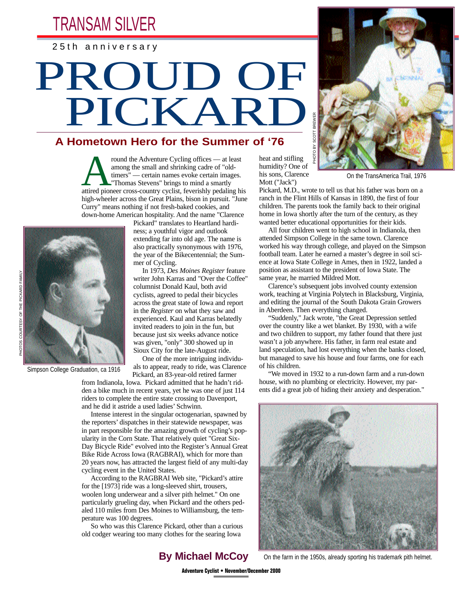TRANSAM SILVER

25th anniversary

## PROUD OF PICKARD

## **A Hometown Hero for the Summer of '76**

From the Adventure Cycling offices — at least<br>among the small and shrinking cadre of "old-<br>timers" — certain names evoke certain images.<br>"Thomas Stevens" brings to mind a smartly<br>attired pioneer cross-country cyclist, feve among the small and shrinking cadre of "oldtimers" — certain names evoke certain images. "Thomas Stevens" brings to mind a smartly high-wheeler across the Great Plains, bison in pursuit. "June Curry" means nothing if not fresh-baked cookies, and down-home American hospitality. And the name "Clarence



Simpson College Graduation, ca 1916

Pickard" translates to Heartland hardiness; a youthful vigor and outlook extending far into old age. The name is also practically synonymous with 1976, the year of the Bikecentennial; the Summer of Cycling.

In 1973, *Des Moines Register* feature writer John Karras and "Over the Coffee" columnist Donald Kaul, both avid cyclists, agreed to pedal their bicycles across the great state of Iowa and report in the *Register* on what they saw and experienced. Kaul and Karras belatedly invited readers to join in the fun, but because just six weeks advance notice was given, "only" 300 showed up in Sioux City for the late-August ride.

One of the more intriguing individuals to appear, ready to ride, was Clarence Pickard, an 83-year-old retired farmer

from Indianola, Iowa. Pickard admitted that he hadn't ridden a bike much in recent years, yet he was one of just 114 riders to complete the entire state crossing to Davenport, and he did it astride a used ladies' Schwinn.

Intense interest in the singular octogenarian, spawned by the reporters' dispatches in their statewide newspaper, was in part responsible for the amazing growth of cycling's popularity in the Corn State. That relatively quiet "Great Six-Day Bicycle Ride" evolved into the Register's Annual Great Bike Ride Across Iowa (RAGBRAI), which for more than 20 years now, has attracted the largest field of any multi-day cycling event in the United States.

According to the RAGBRAI Web site, "Pickard's attire for the [1973] ride was a long-sleeved shirt, trousers, woolen long underwear and a silver pith helmet." On one particularly grueling day, when Pickard and the others pedaled 110 miles from Des Moines to Williamsburg, the temperature was 100 degrees.

So who was this Clarence Pickard, other than a curious old codger wearing too many clothes for the searing Iowa

**By Michael McCoy**

heat and stifling humidity? One of his sons, Clarence Mott ("Jack")

 $\tilde{\alpha}$ 



On the TransAmerica Trail, 1976

Pickard, M.D., wrote to tell us that his father was born on a ranch in the Flint Hills of Kansas in 1890, the first of four children. The parents took the family back to their original home in Iowa shortly after the turn of the century, as they wanted better educational opportunities for their kids.

All four children went to high school in Indianola, then attended Simpson College in the same town. Clarence worked his way through college, and played on the Simpson football team. Later he earned a master's degree in soil science at Iowa State College in Ames, then in 1922, landed a position as assistant to the president of Iowa State. The same year, he married Mildred Mott.

Clarence's subsequent jobs involved county extension work, teaching at Virginia Polytech in Blacksburg, Virginia, and editing the journal of the South Dakota Grain Growers in Aberdeen. Then everything changed.

"Suddenly," Jack wrote, "the Great Depression settled over the country like a wet blanket. By 1930, with a wife and two children to support, my father found that there just wasn't a job anywhere. His father, in farm real estate and land speculation, had lost everything when the banks closed, but managed to save his house and four farms, one for each of his children.

"We moved in 1932 to a run-down farm and a run-down house, with no plumbing or electricity. However, my parents did a great job of hiding their anxiety and desperation."



On the farm in the 1950s, already sporting his trademark pith helmet.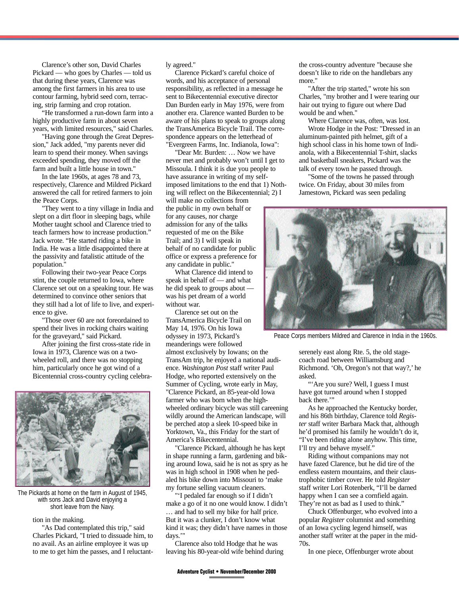Clarence's other son, David Charles Pickard — who goes by Charles — told us that during these years, Clarence was among the first farmers in his area to use contour farming, hybrid seed corn, terracing, strip farming and crop rotation.

"He transformed a run-down farm into a highly productive farm in about seven years, with limited resources," said Charles.

"Having gone through the Great Depression," Jack added, "my parents never did learn to spend their money. When savings exceeded spending, they moved off the farm and built a little house in town."

In the late 1960s, at ages 78 and 73, respectively, Clarence and Mildred Pickard answered the call for retired farmers to join the Peace Corps.

"They went to a tiny village in India and slept on a dirt floor in sleeping bags, while Mother taught school and Clarence tried to teach farmers how to increase production." Jack wrote. "He started riding a bike in India. He was a little disappointed there at the passivity and fatalistic attitude of the population."

Following their two-year Peace Corps stint, the couple returned to Iowa, where Clarence set out on a speaking tour. He was determined to convince other seniors that they still had a lot of life to live, and experience to give.

"Those over 60 are not foreordained to spend their lives in rocking chairs waiting for the graveyard," said Pickard.

After joining the first cross-state ride in Iowa in 1973, Clarence was on a twowheeled roll, and there was no stopping him, particularly once he got wind of a Bicentennial cross-country cycling celebra-



The Pickards at home on the farm in August of 1945, with sons Jack and David enjoying a short leave from the Navy.

tion in the making.

"As Dad contemplated this trip," said Charles Pickard, "I tried to dissuade him, to no avail. As an airline employee it was up to me to get him the passes, and I reluctantly agreed."

Clarence Pickard's careful choice of words, and his acceptance of personal responsibility, as reflected in a message he sent to Bikecentennial executive director Dan Burden early in May 1976, were from another era. Clarence wanted Burden to be aware of his plans to speak to groups along the TransAmerica Bicycle Trail. The correspondence appears on the letterhead of "Evergreen Farms, Inc. Indianola, Iowa":

"Dear Mr. Burden: … Now we have never met and probably won't until I get to Missoula. I think it is due you people to have assurance in writing of my selfimposed limitations to the end that 1) Nothing will reflect on the Bikecentennial; 2) I

will make no collections from the public in my own behalf or for any causes, nor charge admission for any of the talks requested of me on the Bike Trail; and 3) I will speak in behalf of no candidate for public office or express a preference for any candidate in public."

What Clarence did intend to speak in behalf of — and what he did speak to groups about was his pet dream of a world without war.

Clarence set out on the TransAmerica Bicycle Trail on May 14, 1976. On his Iowa odyssey in 1973, Pickard's meanderings were followed almost exclusively by Iowans; on the TransAm trip, he enjoyed a national audience. *Washington Post* staff writer Paul Hodge, who reported extensively on the Summer of Cycling, wrote early in May, "Clarence Pickard, an 85-year-old Iowa farmer who was born when the highwheeled ordinary bicycle was still careening wildly around the American landscape, will be perched atop a sleek 10-speed bike in Yorktown, Va., this Friday for the start of America's Bikecentennial.

"Clarence Pickard, although he has kept in shape running a farm, gardening and biking around Iowa, said he is not as spry as he was in high school in 1908 when he pedaled his bike down into Missouri to 'make my fortune selling vacuum cleaners.

"'I pedaled far enough so if I didn't make a go of it no one would know. I didn't … and had to sell my bike for half price. But it was a clunker, I don't know what kind it was; they didn't have names in those days.'"

Clarence also told Hodge that he was leaving his 80-year-old wife behind during

the cross-country adventure "because she doesn't like to ride on the handlebars any more."

"After the trip started," wrote his son Charles, "my brother and I were tearing our hair out trying to figure out where Dad would be and when."

Where Clarence was, often, was lost.

Wrote Hodge in the Post: "Dressed in an aluminum-painted pith helmet, gift of a high school class in his home town of Indianola, with a Bikecentennial T-shirt, slacks and basketball sneakers, Pickard was the talk of every town he passed through.

"Some of the towns he passed through twice. On Friday, about 30 miles from Jamestown, Pickard was seen pedaling



Peace Corps members Mildred and Clarence in India in the 1960s.

serenely east along Rte. 5, the old stagecoach road between Williamsburg and Richmond. 'Oh, Oregon's not that way?,' he asked.

"'Are you sure? Well, I guess I must have got turned around when I stopped back there."

As he approached the Kentucky border, and his 86th birthday, Clarence told *Register* staff writer Barbara Mack that, although he'd promised his family he wouldn't do it, "I've been riding alone anyhow. This time, I'll try and behave myself."

Riding without companions may not have fazed Clarence, but he did tire of the endless eastern mountains, and their claustrophobic timber cover. He told *Register* staff writer Lori Rotenberk, "I'll be darned happy when I can see a cornfield again. They're not as bad as I used to think."

Chuck Offenburger, who evolved into a popular *Register* columnist and something of an Iowa cycling legend himself, was another staff writer at the paper in the mid-70s.

In one piece, Offenburger wrote about